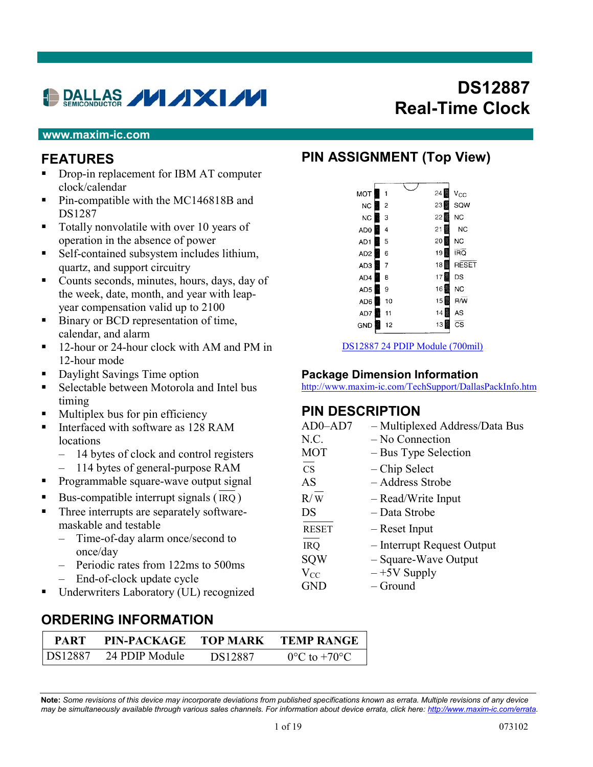# **DALLAS / / / XI//**

# **DS12887 Real-Time Clock**

#### **www.maxim-ic.com**

#### **FEATURES**

- Drop-in replacement for IBM AT computer clock/calendar
- Pin-compatible with the MC146818B and DS1287
- Totally nonvolatile with over 10 years of operation in the absence of power
- Self-contained subsystem includes lithium, quartz, and support circuitry
- Counts seconds, minutes, hours, days, day of the week, date, month, and year with leapyear compensation valid up to 2100
- Binary or BCD representation of time, calendar, and alarm
- <sup>•</sup> 12-hour or 24-hour clock with AM and PM in 12-hour mode
- Daylight Savings Time option
- Selectable between Motorola and Intel bus timing
- **Multiplex bus for pin efficiency**
- Interfaced with software as 128 RAM locations
	- 14 bytes of clock and control registers
	- 114 bytes of general-purpose RAM
- Programmable square-wave output signal
- Bus-compatible interrupt signals  $(IRQ)$
- Three interrupts are separately softwaremaskable and testable
	- Time-of-day alarm once/second to once/day
	- Periodic rates from 122ms to 500ms – End-of-clock update cycle
- Underwriters Laboratory (UL) recognized

#### **ORDERING INFORMATION**

| <b>PART</b> | PIN-PACKAGE    | <b>TOP MARK</b> | <b>TEMP RANGE</b>                 |
|-------------|----------------|-----------------|-----------------------------------|
| DS12887     | 24 PDIP Module | DS12887         | $0^{\circ}$ C to +70 $^{\circ}$ C |

#### **PIN ASSIGNMENT (Top View)**

| <b>MOT</b>      |    | 1              |  | 24 B              | $V_{CC}$               |
|-----------------|----|----------------|--|-------------------|------------------------|
| N <sub>C</sub>  | X. | $\overline{2}$ |  | 23 B              | SQW                    |
| N <sub>C</sub>  |    | 3              |  | 22 鳳              | <b>NC</b>              |
| AD <sub>0</sub> | Ÿ, | 4              |  | 21                | N <sub>C</sub>         |
| AD <sub>1</sub> |    | 5              |  | 20                | <b>NC</b>              |
| AD <sub>2</sub> |    | 6              |  | 19                | IRQ                    |
| AD3             |    | 7              |  | 18 鬭              | RESET                  |
| AD4             |    | 8              |  | 17                | DS                     |
| AD <sub>5</sub> |    | 9              |  | 16 鬮              | NC                     |
| AD6             |    | 10             |  | 15                | <b>R/W</b>             |
| AD7             |    | 11             |  | <b>Base</b><br>14 | AS                     |
| GND             |    | 12             |  | 13                | $\overline{\text{cs}}$ |
|                 |    |                |  |                   |                        |

[DS12887 24 PDIP Module \(700mil\)](http://pdfserv.maxim-ic.com/arpdf/Packages/24pin700milmodule.pdf)

#### **Package Dimension Information**

<http://www.maxim-ic.com/TechSupport/DallasPackInfo.htm>

#### **PIN DESCRIPTION**

| - Multiplexed Address/Data Bus |
|--------------------------------|
| - No Connection                |
| - Bus Type Selection           |
| – Chip Select                  |
| - Address Strobe               |
| - Read/Write Input             |
| - Data Strobe                  |
| – Reset Input                  |
| - Interrupt Request Output     |
| - Square-Wave Output           |
| $-+5V$ Supply                  |
| – Ground                       |
|                                |

**Note:** *Some revisions of this device may incorporate deviations from published specifications known as errata. Multiple revisions of any device may be simultaneously available through various sales channels. For information about device errata, click here: [http://www.maxim-ic.com/errata.](http://www.maxim-ic.com/errata)*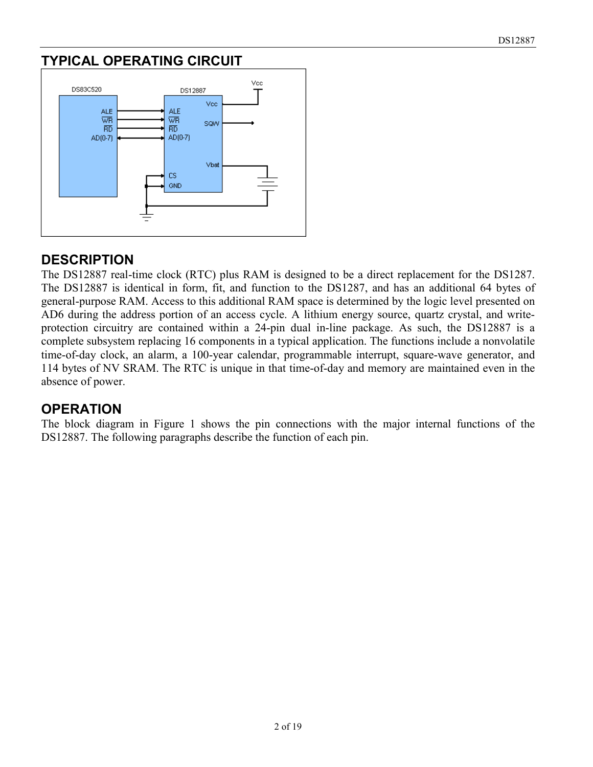### **TYPICAL OPERATING CIRCUIT**



#### **DESCRIPTION**

The DS12887 real-time clock (RTC) plus RAM is designed to be a direct replacement for the DS1287. The DS12887 is identical in form, fit, and function to the DS1287, and has an additional 64 bytes of general-purpose RAM. Access to this additional RAM space is determined by the logic level presented on AD6 during the address portion of an access cycle. A lithium energy source, quartz crystal, and writeprotection circuitry are contained within a 24-pin dual in-line package. As such, the DS12887 is a complete subsystem replacing 16 components in a typical application. The functions include a nonvolatile time-of-day clock, an alarm, a 100-year calendar, programmable interrupt, square-wave generator, and 114 bytes of NV SRAM. The RTC is unique in that time-of-day and memory are maintained even in the absence of power.

#### **OPERATION**

The block diagram in Figure 1 shows the pin connections with the major internal functions of the DS12887. The following paragraphs describe the function of each pin.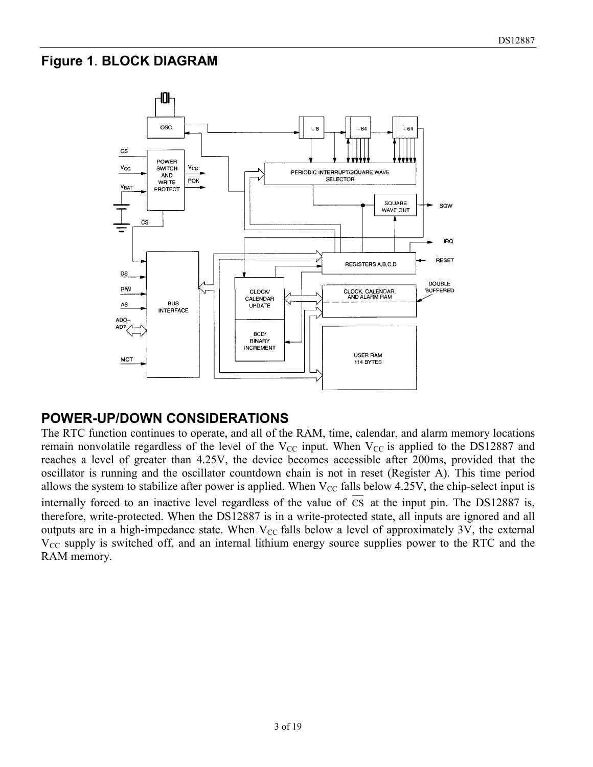#### **Figure 1**. **BLOCK DIAGRAM**



#### **POWER-UP/DOWN CONSIDERATIONS**

The RTC function continues to operate, and all of the RAM, time, calendar, and alarm memory locations remain nonvolatile regardless of the level of the  $V_{CC}$  input. When  $V_{CC}$  is applied to the DS12887 and reaches a level of greater than 4.25V, the device becomes accessible after 200ms, provided that the oscillator is running and the oscillator countdown chain is not in reset (Register A). This time period allows the system to stabilize after power is applied. When  $V_{CC}$  falls below 4.25V, the chip-select input is internally forced to an inactive level regardless of the value of CS at the input pin. The DS12887 is, therefore, write-protected. When the DS12887 is in a write-protected state, all inputs are ignored and all outputs are in a high-impedance state. When  $V_{CC}$  falls below a level of approximately 3V, the external  $V_{CC}$  supply is switched off, and an internal lithium energy source supplies power to the RTC and the RAM memory.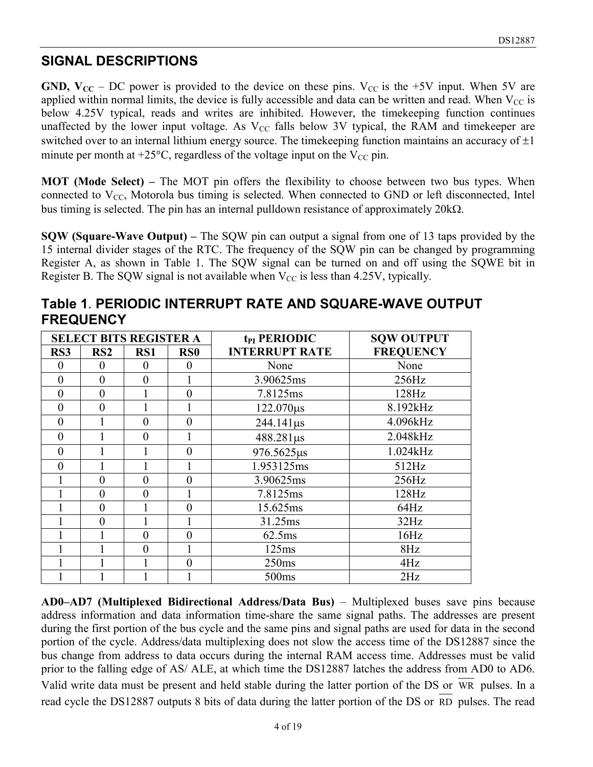#### **SIGNAL DESCRIPTIONS**

**GND, V<sub>CC</sub>** – DC power is provided to the device on these pins. V<sub>CC</sub> is the +5V input. When 5V are applied within normal limits, the device is fully accessible and data can be written and read. When  $V_{CC}$  is below 4.25V typical, reads and writes are inhibited. However, the timekeeping function continues unaffected by the lower input voltage. As  $V_{CC}$  falls below 3V typical, the RAM and timekeeper are switched over to an internal lithium energy source. The timekeeping function maintains an accuracy of  $\pm 1$ minute per month at  $+25^{\circ}$ C, regardless of the voltage input on the V<sub>CC</sub> pin.

**MOT (Mode Select) –** The MOT pin offers the flexibility to choose between two bus types. When connected to  $V_{CC}$ , Motorola bus timing is selected. When connected to GND or left disconnected, Intel bus timing is selected. The pin has an internal pulldown resistance of approximately  $20k\Omega$ .

**SQW (Square-Wave Output) –** The SQW pin can output a signal from one of 13 taps provided by the 15 internal divider stages of the RTC. The frequency of the SQW pin can be changed by programming Register A, as shown in Table 1. The SQW signal can be turned on and off using the SQWE bit in Register B. The SQW signal is not available when  $V_{CC}$  is less than 4.25V, typically.

| <b>SELECT BITS REGISTER A</b> |                 |                |                 | t <sub>PI</sub> PERIODIC | <b>SQW OUTPUT</b> |
|-------------------------------|-----------------|----------------|-----------------|--------------------------|-------------------|
| RS3                           | RS <sub>2</sub> | RS1            | RS <sub>0</sub> | <b>INTERRUPT RATE</b>    | <b>FREQUENCY</b>  |
| $\theta$                      | $\theta$        | $\theta$       | $\theta$        | None                     | None              |
| $\theta$                      | $\theta$        | $\theta$       |                 | 3.90625ms                | 256Hz             |
| $\theta$                      | $\theta$        |                | $\theta$        | 7.8125ms                 | 128Hz             |
| $\theta$                      | $\theta$        |                |                 | $122.070\mu s$           | 8.192kHz          |
| $\theta$                      | 1               | $\theta$       | $\overline{0}$  | $244.141 \,\mu s$        | 4.096kHz          |
| $\theta$                      |                 | $\overline{0}$ |                 | 488.281µs                | 2.048kHz          |
| $\theta$                      |                 |                | $\theta$        | 976.5625µs               | 1.024kHz          |
| $\theta$                      | 1               |                |                 | 1.953125ms               | 512Hz             |
|                               | $\overline{0}$  | $\overline{0}$ | $\theta$        | 3.90625ms                | 256Hz             |
|                               | $\theta$        | $\theta$       |                 | 7.8125ms                 | 128Hz             |
|                               | $\overline{0}$  |                | $\theta$        | 15.625ms                 | 64Hz              |
|                               | $\theta$        |                |                 | 31.25ms                  | 32Hz              |
|                               | 1               | $\theta$       | $\theta$        | 62.5ms                   | 16Hz              |
|                               | 1               | $\theta$       |                 | 125ms                    | 8Hz               |
|                               | 1               |                | $\theta$        | 250ms                    | 4Hz               |
|                               |                 |                |                 | 500 <sub>ms</sub>        | 2Hz               |

**Table 1**. **PERIODIC INTERRUPT RATE AND SQUARE-WAVE OUTPUT FREQUENCY**

**AD0–AD7 (Multiplexed Bidirectional Address/Data Bus)** – Multiplexed buses save pins because address information and data information time-share the same signal paths. The addresses are present during the first portion of the bus cycle and the same pins and signal paths are used for data in the second portion of the cycle. Address/data multiplexing does not slow the access time of the DS12887 since the bus change from address to data occurs during the internal RAM access time. Addresses must be valid prior to the falling edge of AS/ ALE, at which time the DS12887 latches the address from AD0 to AD6. Valid write data must be present and held stable during the latter portion of the DS or WR pulses. In a read cycle the DS12887 outputs 8 bits of data during the latter portion of the DS or RD pulses. The read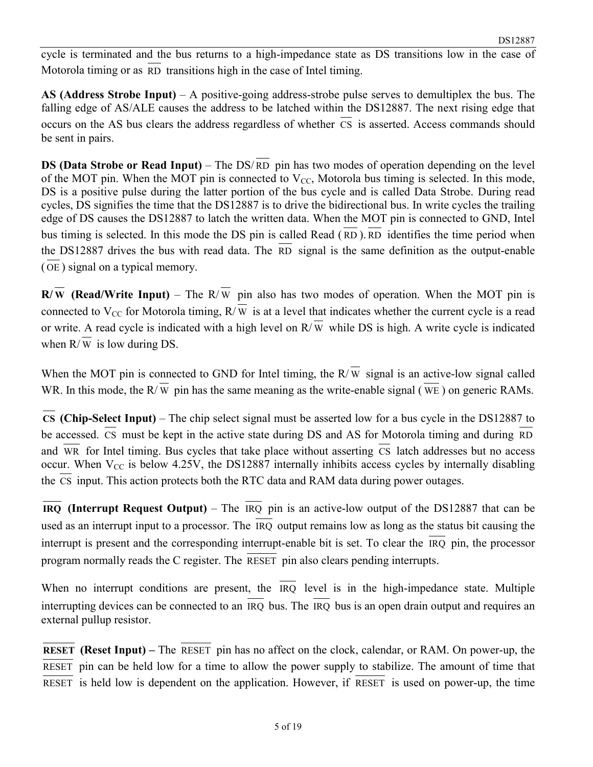cycle is terminated and the bus returns to a high-impedance state as DS transitions low in the case of Motorola timing or as RD transitions high in the case of Intel timing.

**AS (Address Strobe Input)** – A positive-going address-strobe pulse serves to demultiplex the bus. The falling edge of AS/ALE causes the address to be latched within the DS12887. The next rising edge that occurs on the AS bus clears the address regardless of whether CS is asserted. Access commands should be sent in pairs.

**DS (Data Strobe or Read Input)** – The DS/ RD pin has two modes of operation depending on the level of the MOT pin. When the MOT pin is connected to  $V_{CC}$ , Motorola bus timing is selected. In this mode, DS is a positive pulse during the latter portion of the bus cycle and is called Data Strobe. During read cycles, DS signifies the time that the DS12887 is to drive the bidirectional bus. In write cycles the trailing edge of DS causes the DS12887 to latch the written data. When the MOT pin is connected to GND, Intel bus timing is selected. In this mode the DS pin is called Read ( RD ). RD identifies the time period when the DS12887 drives the bus with read data. The RD signal is the same definition as the output-enable ( OE ) signal on a typical memory.

**R/** $\overline{w}$  **(Read/Write Input)** – The R/ $\overline{w}$  pin also has two modes of operation. When the MOT pin is connected to V<sub>CC</sub> for Motorola timing,  $R/\overline{W}$  is at a level that indicates whether the current cycle is a read or write. A read cycle is indicated with a high level on  $R/\overline{W}$  while DS is high. A write cycle is indicated when  $R/\overline{W}$  is low during DS.

When the MOT pin is connected to GND for Intel timing, the  $R/\overline{W}$  signal is an active-low signal called WR. In this mode, the  $R/\overline{W}$  pin has the same meaning as the write-enable signal ( $\overline{WE}$ ) on generic RAMs.

**CS (Chip-Select Input)** – The chip select signal must be asserted low for a bus cycle in the DS12887 to be accessed. CS must be kept in the active state during DS and AS for Motorola timing and during RD and WR for Intel timing. Bus cycles that take place without asserting  $\overline{CS}$  latch addresses but no access occur. When  $V_{CC}$  is below 4.25V, the DS12887 internally inhibits access cycles by internally disabling the  $\overline{CS}$  input. This action protects both the RTC data and RAM data during power outages.

**IRQ (Interrupt Request Output)** – The IRQ pin is an active-low output of the DS12887 that can be used as an interrupt input to a processor. The IRQ output remains low as long as the status bit causing the interrupt is present and the corresponding interrupt-enable bit is set. To clear the IRQ pin, the processor program normally reads the C register. The RESET pin also clears pending interrupts.

When no interrupt conditions are present, the  $\overline{IRQ}$  level is in the high-impedance state. Multiple interrupting devices can be connected to an IRQ bus. The IRQ bus is an open drain output and requires an external pullup resistor.

**RESET (Reset Input)** – The RESET pin has no affect on the clock, calendar, or RAM. On power-up, the RESET pin can be held low for a time to allow the power supply to stabilize. The amount of time that  $\overline{\text{RESET}}$  is held low is dependent on the application. However, if  $\overline{\text{RESET}}$  is used on power-up, the time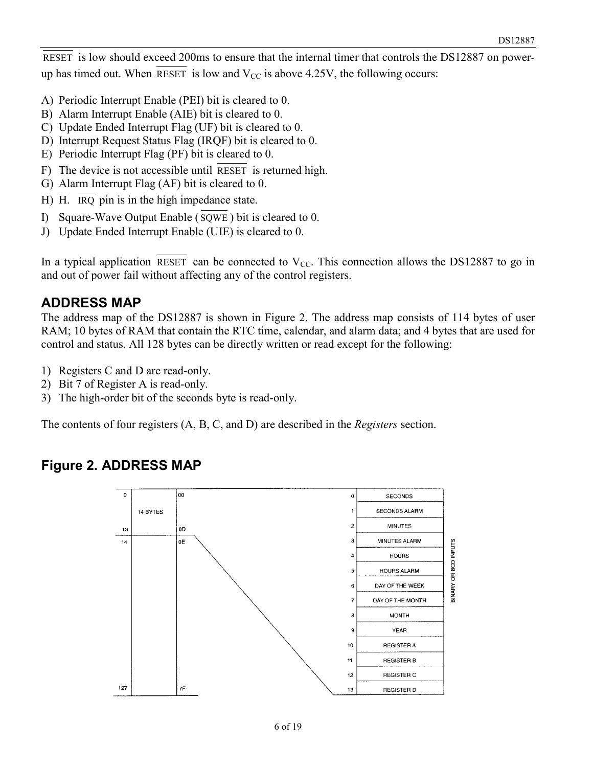RESET is low should exceed 200ms to ensure that the internal timer that controls the DS12887 on powerup has timed out. When RESET is low and  $V_{CC}$  is above 4.25V, the following occurs:

- A) Periodic Interrupt Enable (PEI) bit is cleared to 0.
- B) Alarm Interrupt Enable (AIE) bit is cleared to 0.
- C) Update Ended Interrupt Flag (UF) bit is cleared to 0.
- D) Interrupt Request Status Flag (IRQF) bit is cleared to 0.
- E) Periodic Interrupt Flag (PF) bit is cleared to 0.
- F) The device is not accessible until RESET is returned high.
- G) Alarm Interrupt Flag (AF) bit is cleared to 0.
- H) H. IRQ pin is in the high impedance state.
- I) Square-Wave Output Enable ( SQWE ) bit is cleared to 0.
- J) Update Ended Interrupt Enable (UIE) is cleared to 0.

In a typical application RESET can be connected to  $V_{CC}$ . This connection allows the DS12887 to go in and out of power fail without affecting any of the control registers.

#### **ADDRESS MAP**

The address map of the DS12887 is shown in Figure 2. The address map consists of 114 bytes of user RAM; 10 bytes of RAM that contain the RTC time, calendar, and alarm data; and 4 bytes that are used for control and status. All 128 bytes can be directly written or read except for the following:

- 1) Registers C and D are read-only.
- 2) Bit 7 of Register A is read-only.
- 3) The high-order bit of the seconds byte is read-only.

The contents of four registers (A, B, C, and D) are described in the *Registers* section.

#### **Figure 2. ADDRESS MAP**

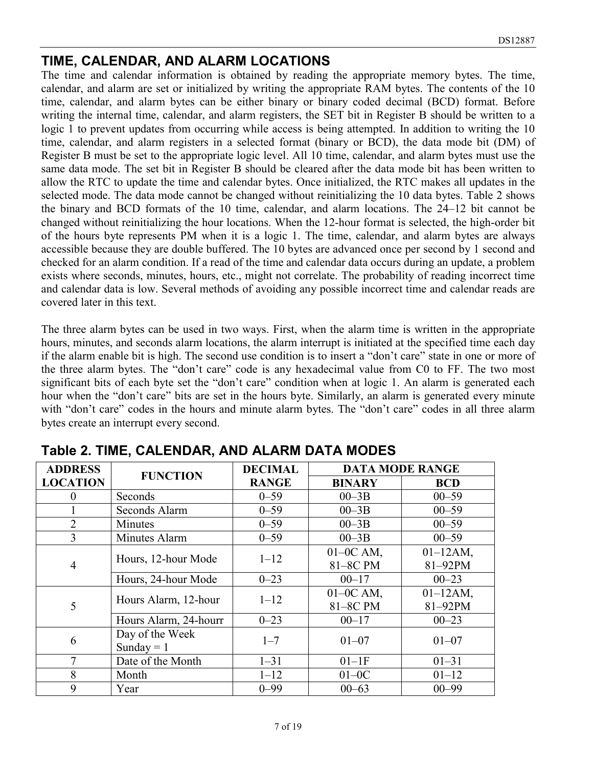#### **TIME, CALENDAR, AND ALARM LOCATIONS**

The time and calendar information is obtained by reading the appropriate memory bytes. The time, calendar, and alarm are set or initialized by writing the appropriate RAM bytes. The contents of the 10 time, calendar, and alarm bytes can be either binary or binary coded decimal (BCD) format. Before writing the internal time, calendar, and alarm registers, the SET bit in Register B should be written to a logic 1 to prevent updates from occurring while access is being attempted. In addition to writing the 10 time, calendar, and alarm registers in a selected format (binary or BCD), the data mode bit (DM) of Register B must be set to the appropriate logic level. All 10 time, calendar, and alarm bytes must use the same data mode. The set bit in Register B should be cleared after the data mode bit has been written to allow the RTC to update the time and calendar bytes. Once initialized, the RTC makes all updates in the selected mode. The data mode cannot be changed without reinitializing the 10 data bytes. Table 2 shows the binary and BCD formats of the 10 time, calendar, and alarm locations. The 24–12 bit cannot be changed without reinitializing the hour locations. When the 12-hour format is selected, the high-order bit of the hours byte represents PM when it is a logic 1. The time, calendar, and alarm bytes are always accessible because they are double buffered. The 10 bytes are advanced once per second by 1 second and checked for an alarm condition. If a read of the time and calendar data occurs during an update, a problem exists where seconds, minutes, hours, etc., might not correlate. The probability of reading incorrect time and calendar data is low. Several methods of avoiding any possible incorrect time and calendar reads are covered later in this text.

The three alarm bytes can be used in two ways. First, when the alarm time is written in the appropriate hours, minutes, and seconds alarm locations, the alarm interrupt is initiated at the specified time each day if the alarm enable bit is high. The second use condition is to insert a "don't care" state in one or more of the three alarm bytes. The "don't care" code is any hexadecimal value from C0 to FF. The two most significant bits of each byte set the "don't care" condition when at logic 1. An alarm is generated each hour when the "don't care" bits are set in the hours byte. Similarly, an alarm is generated every minute with "don't care" codes in the hours and minute alarm bytes. The "don't care" codes in all three alarm bytes create an interrupt every second.

| <b>ADDRESS</b>  | <b>FUNCTION</b>       | <b>DECIMAL</b> | <b>DATA MODE RANGE</b> |               |  |  |
|-----------------|-----------------------|----------------|------------------------|---------------|--|--|
| <b>LOCATION</b> |                       | <b>RANGE</b>   | <b>BINARY</b>          | <b>BCD</b>    |  |  |
| 0               | Seconds               | $0 - 59$       | $00 - 3B$              | $00 - 59$     |  |  |
|                 | Seconds Alarm         | $0 - 59$       | $00 - 3B$              | $00 - 59$     |  |  |
| $\overline{2}$  | Minutes               | $0 - 59$       | $00 - 3B$              | $00 - 59$     |  |  |
| 3               | Minutes Alarm         | $0 - 59$       | $00 - 3B$              | $00 - 59$     |  |  |
|                 |                       | $1 - 12$       | $01-0C$ AM,            | $01 - 12AM$ , |  |  |
| 4               | Hours, 12-hour Mode   |                | 81-8C PM               | 81-92PM       |  |  |
|                 | Hours, 24-hour Mode   | $0 - 23$       | $00 - 17$              | $00 - 23$     |  |  |
|                 |                       | $1 - 12$       | $01-0C$ AM,            | $01 - 12AM$ , |  |  |
| 5               | Hours Alarm, 12-hour  |                | 81-8C PM               | 81-92PM       |  |  |
|                 | Hours Alarm, 24-hourr | $0 - 23$       | $00 - 17$              | $00 - 23$     |  |  |
| 6               | Day of the Week       | $1 - 7$        | $01 - 07$              | $01 - 07$     |  |  |
|                 | Sunday = $1$          |                |                        |               |  |  |
| 7               | Date of the Month     | $1 - 31$       | $01-1F$                | $01 - 31$     |  |  |
| 8               | Month                 | $1 - 12$       | $01-0C$                | $01 - 12$     |  |  |
| 9               | Year                  | $0 - 99$       | $00 - 63$              | $00 - 99$     |  |  |

**Table 2. TIME, CALENDAR, AND ALARM DATA MODES**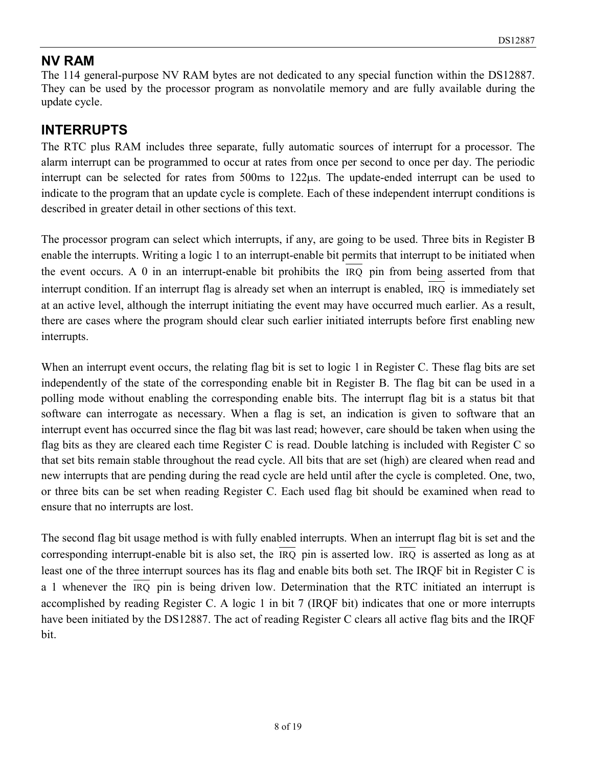#### **NV RAM**

The 114 general-purpose NV RAM bytes are not dedicated to any special function within the DS12887. They can be used by the processor program as nonvolatile memory and are fully available during the update cycle.

#### **INTERRUPTS**

The RTC plus RAM includes three separate, fully automatic sources of interrupt for a processor. The alarm interrupt can be programmed to occur at rates from once per second to once per day. The periodic interrupt can be selected for rates from  $500 \text{ms}$  to  $122 \mu s$ . The update-ended interrupt can be used to indicate to the program that an update cycle is complete. Each of these independent interrupt conditions is described in greater detail in other sections of this text.

The processor program can select which interrupts, if any, are going to be used. Three bits in Register B enable the interrupts. Writing a logic 1 to an interrupt-enable bit permits that interrupt to be initiated when the event occurs. A 0 in an interrupt-enable bit prohibits the IRQ pin from being asserted from that interrupt condition. If an interrupt flag is already set when an interrupt is enabled, IRQ is immediately set at an active level, although the interrupt initiating the event may have occurred much earlier. As a result, there are cases where the program should clear such earlier initiated interrupts before first enabling new interrupts.

When an interrupt event occurs, the relating flag bit is set to logic 1 in Register C. These flag bits are set independently of the state of the corresponding enable bit in Register B. The flag bit can be used in a polling mode without enabling the corresponding enable bits. The interrupt flag bit is a status bit that software can interrogate as necessary. When a flag is set, an indication is given to software that an interrupt event has occurred since the flag bit was last read; however, care should be taken when using the flag bits as they are cleared each time Register C is read. Double latching is included with Register C so that set bits remain stable throughout the read cycle. All bits that are set (high) are cleared when read and new interrupts that are pending during the read cycle are held until after the cycle is completed. One, two, or three bits can be set when reading Register C. Each used flag bit should be examined when read to ensure that no interrupts are lost.

The second flag bit usage method is with fully enabled interrupts. When an interrupt flag bit is set and the corresponding interrupt-enable bit is also set, the IRQ pin is asserted low. IRQ is asserted as long as at least one of the three interrupt sources has its flag and enable bits both set. The IRQF bit in Register C is a 1 whenever the IRQ pin is being driven low. Determination that the RTC initiated an interrupt is accomplished by reading Register C. A logic 1 in bit 7 (IRQF bit) indicates that one or more interrupts have been initiated by the DS12887. The act of reading Register C clears all active flag bits and the IRQF bit.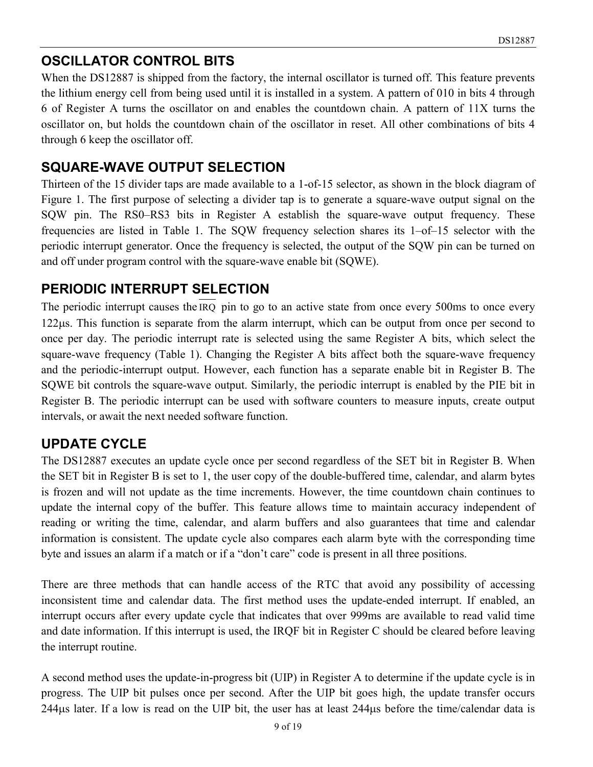### **OSCILLATOR CONTROL BITS**

When the DS12887 is shipped from the factory, the internal oscillator is turned off. This feature prevents the lithium energy cell from being used until it is installed in a system. A pattern of 010 in bits 4 through 6 of Register A turns the oscillator on and enables the countdown chain. A pattern of 11X turns the oscillator on, but holds the countdown chain of the oscillator in reset. All other combinations of bits 4 through 6 keep the oscillator off.

#### **SQUARE-WAVE OUTPUT SELECTION**

Thirteen of the 15 divider taps are made available to a 1-of-15 selector, as shown in the block diagram of Figure 1. The first purpose of selecting a divider tap is to generate a square-wave output signal on the SQW pin. The RS0–RS3 bits in Register A establish the square-wave output frequency. These frequencies are listed in Table 1. The SQW frequency selection shares its 1–of–15 selector with the periodic interrupt generator. Once the frequency is selected, the output of the SQW pin can be turned on and off under program control with the square-wave enable bit (SQWE).

#### **PERIODIC INTERRUPT SELECTION**

The periodic interrupt causes the IRQ pin to go to an active state from once every 500ms to once every 122us. This function is separate from the alarm interrupt, which can be output from once per second to once per day. The periodic interrupt rate is selected using the same Register A bits, which select the square-wave frequency (Table 1). Changing the Register A bits affect both the square-wave frequency and the periodic-interrupt output. However, each function has a separate enable bit in Register B. The SQWE bit controls the square-wave output. Similarly, the periodic interrupt is enabled by the PIE bit in Register B. The periodic interrupt can be used with software counters to measure inputs, create output intervals, or await the next needed software function.

#### **UPDATE CYCLE**

The DS12887 executes an update cycle once per second regardless of the SET bit in Register B. When the SET bit in Register B is set to 1, the user copy of the double-buffered time, calendar, and alarm bytes is frozen and will not update as the time increments. However, the time countdown chain continues to update the internal copy of the buffer. This feature allows time to maintain accuracy independent of reading or writing the time, calendar, and alarm buffers and also guarantees that time and calendar information is consistent. The update cycle also compares each alarm byte with the corresponding time byte and issues an alarm if a match or if a "don't care" code is present in all three positions.

There are three methods that can handle access of the RTC that avoid any possibility of accessing inconsistent time and calendar data. The first method uses the update-ended interrupt. If enabled, an interrupt occurs after every update cycle that indicates that over 999ms are available to read valid time and date information. If this interrupt is used, the IRQF bit in Register C should be cleared before leaving the interrupt routine.

A second method uses the update-in-progress bit (UIP) in Register A to determine if the update cycle is in progress. The UIP bit pulses once per second. After the UIP bit goes high, the update transfer occurs  $244\mu s$  later. If a low is read on the UIP bit, the user has at least  $244\mu s$  before the time/calendar data is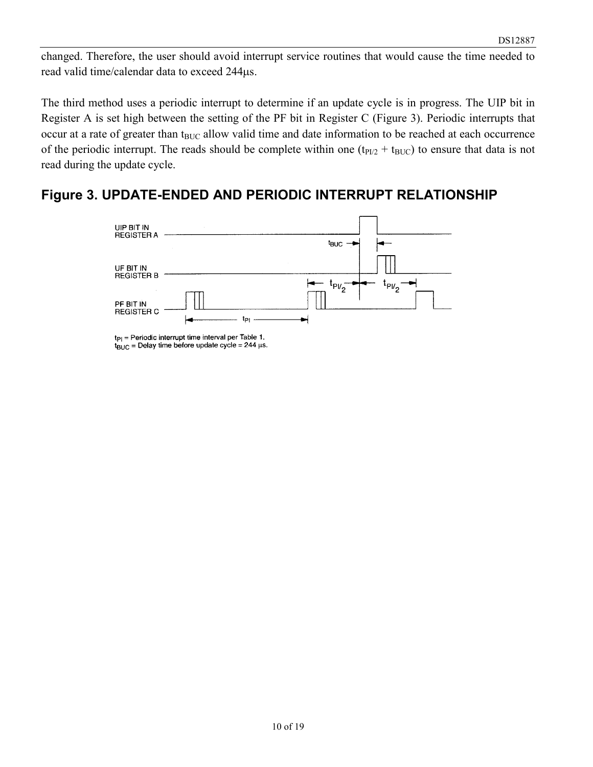changed. Therefore, the user should avoid interrupt service routines that would cause the time needed to read valid time/calendar data to exceed 244µs.

The third method uses a periodic interrupt to determine if an update cycle is in progress. The UIP bit in Register A is set high between the setting of the PF bit in Register C (Figure 3). Periodic interrupts that occur at a rate of greater than t<sub>BUC</sub> allow valid time and date information to be reached at each occurrence of the periodic interrupt. The reads should be complete within one  $(t_{P1/2} + t_{BUC})$  to ensure that data is not read during the update cycle.

#### **Figure 3. UPDATE-ENDED AND PERIODIC INTERRUPT RELATIONSHIP**



 $tp<sub>1</sub>$  = Periodic interrupt time interval per Table 1.  $t_{\text{BUC}}$  = Delay time before update cycle = 244 µs.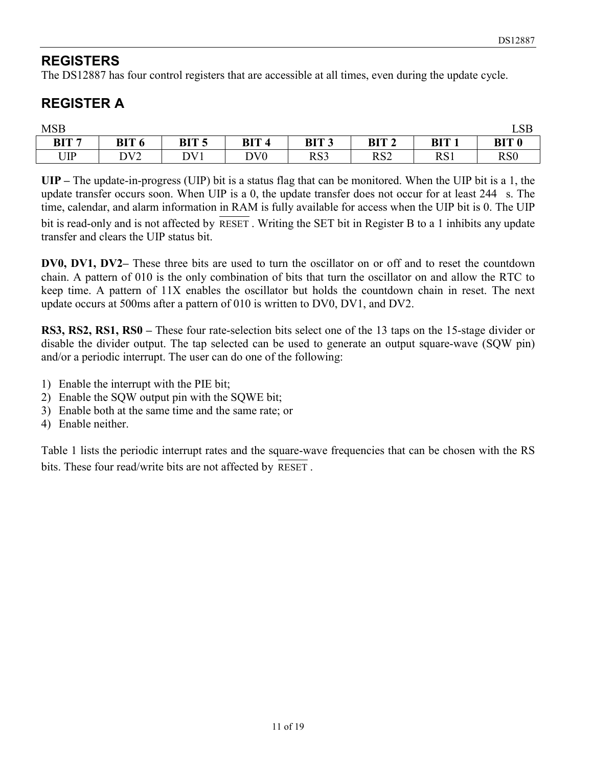### **REGISTERS**

The DS12887 has four control registers that are accessible at all times, even during the update cycle.

## **REGISTER A**

| <b>MSB</b>       |                  |                  |                 |                  |                  |                  | CD<br>LOD       |
|------------------|------------------|------------------|-----------------|------------------|------------------|------------------|-----------------|
| BIT <sub>7</sub> | BIT <sub>6</sub> | BIT <sub>5</sub> | <b>BIT</b>      | BIT <sub>3</sub> | BIT <sub>2</sub> | BIT <sub>1</sub> | <b>BIT 0</b>    |
| UIP              | DV <sub>2</sub>  | DV1              | DV <sub>0</sub> | RS3              | RS <sub>2</sub>  | RS1              | RS <sub>0</sub> |

**UIP –** The update-in-progress (UIP) bit is a status flag that can be monitored. When the UIP bit is a 1, the update transfer occurs soon. When UIP is a 0, the update transfer does not occur for at least  $244$  s. The time, calendar, and alarm information in RAM is fully available for access when the UIP bit is 0. The UIP

bit is read-only and is not affected by RESET . Writing the SET bit in Register B to a 1 inhibits any update transfer and clears the UIP status bit.

**DV0, DV1, DV2–** These three bits are used to turn the oscillator on or off and to reset the countdown chain. A pattern of 010 is the only combination of bits that turn the oscillator on and allow the RTC to keep time. A pattern of 11X enables the oscillator but holds the countdown chain in reset. The next update occurs at 500ms after a pattern of 010 is written to DV0, DV1, and DV2.

**RS3, RS2, RS1, RS0 –** These four rate-selection bits select one of the 13 taps on the 15-stage divider or disable the divider output. The tap selected can be used to generate an output square-wave (SQW pin) and/or a periodic interrupt. The user can do one of the following:

- 1) Enable the interrupt with the PIE bit;
- 2) Enable the SQW output pin with the SQWE bit;
- 3) Enable both at the same time and the same rate; or
- 4) Enable neither.

Table 1 lists the periodic interrupt rates and the square-wave frequencies that can be chosen with the RS bits. These four read/write bits are not affected by RESET .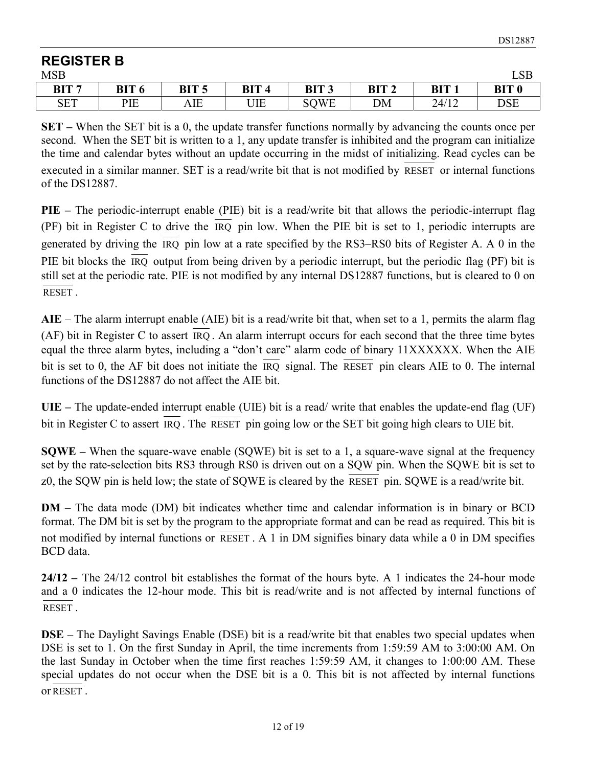#### **REGISTER B** MSB LSB **BIT 7 BIT 6 BIT 5 BIT 4 BIT 3 BIT 2 BIT 1 BIT 0** SET | PIE | AIE | UIE | SQWE | DM | 24/12 | DSE

**SET –** When the SET bit is a 0, the update transfer functions normally by advancing the counts once per second. When the SET bit is written to a 1, any update transfer is inhibited and the program can initialize the time and calendar bytes without an update occurring in the midst of initializing. Read cycles can be executed in a similar manner. SET is a read/write bit that is not modified by RESET or internal functions of the DS12887.

**PIE** – The periodic-interrupt enable (PIE) bit is a read/write bit that allows the periodic-interrupt flag (PF) bit in Register C to drive the IRQ pin low. When the PIE bit is set to 1, periodic interrupts are generated by driving the IRQ pin low at a rate specified by the RS3–RS0 bits of Register A. A 0 in the PIE bit blocks the IRQ output from being driven by a periodic interrupt, but the periodic flag (PF) bit is still set at the periodic rate. PIE is not modified by any internal DS12887 functions, but is cleared to 0 on RESET .

**AIE** – The alarm interrupt enable (AIE) bit is a read/write bit that, when set to a 1, permits the alarm flag (AF) bit in Register C to assert IRQ . An alarm interrupt occurs for each second that the three time bytes equal the three alarm bytes, including a "don't care" alarm code of binary 11XXXXXX. When the AIE bit is set to 0, the AF bit does not initiate the IRQ signal. The RESET pin clears AIE to 0. The internal functions of the DS12887 do not affect the AIE bit.

**UIE –** The update-ended interrupt enable (UIE) bit is a read/ write that enables the update-end flag (UF) bit in Register C to assert IRQ . The RESET pin going low or the SET bit going high clears to UIE bit.

**SQWE –** When the square-wave enable (SQWE) bit is set to a 1, a square-wave signal at the frequency set by the rate-selection bits RS3 through RS0 is driven out on a SQW pin. When the SQWE bit is set to z0, the SQW pin is held low; the state of SQWE is cleared by the RESET pin. SQWE is a read/write bit.

**DM** – The data mode (DM) bit indicates whether time and calendar information is in binary or BCD format. The DM bit is set by the program to the appropriate format and can be read as required. This bit is not modified by internal functions or RESET . A 1 in DM signifies binary data while a 0 in DM specifies BCD data.

**24/12 –** The 24/12 control bit establishes the format of the hours byte. A 1 indicates the 24-hour mode and a 0 indicates the 12-hour mode. This bit is read/write and is not affected by internal functions of RESET .

**DSE** – The Daylight Savings Enable (DSE) bit is a read/write bit that enables two special updates when DSE is set to 1. On the first Sunday in April, the time increments from 1:59:59 AM to 3:00:00 AM. On the last Sunday in October when the time first reaches 1:59:59 AM, it changes to 1:00:00 AM. These special updates do not occur when the DSE bit is a 0. This bit is not affected by internal functions or RESET .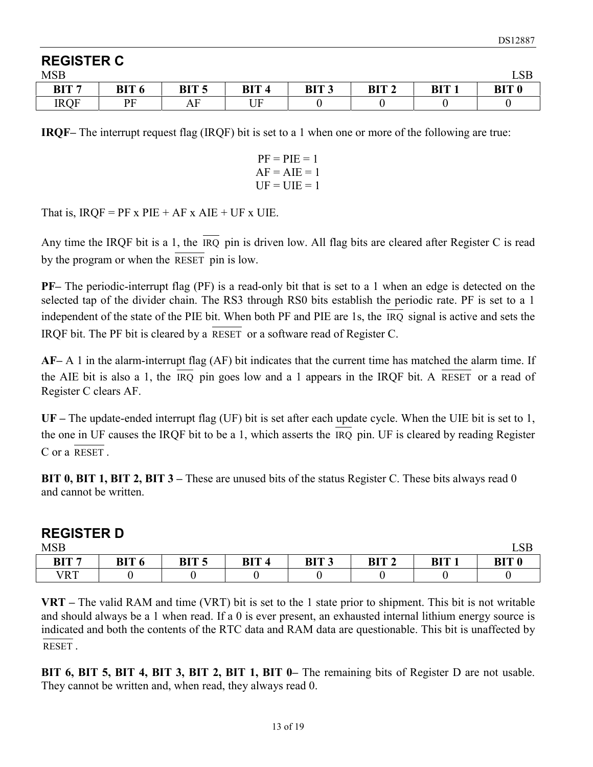| <b>REGISTER C</b> |              |                  |                  |                  |                  |                  |  |
|-------------------|--------------|------------------|------------------|------------------|------------------|------------------|--|
| <b>MSB</b>        |              |                  |                  |                  |                  |                  |  |
| BIT <sub>7</sub>  | <b>BIT 6</b> | BIT <sub>5</sub> | BIT <sub>4</sub> | BIT <sub>3</sub> | BIT <sub>2</sub> | BIT <sub>1</sub> |  |
| <b>IRQF</b>       | РF           | ΑF               | JF               |                  |                  |                  |  |

**IRQF–** The interrupt request flag (IRQF) bit is set to a 1 when one or more of the following are true:

| $PF = PIE = 1$ |
|----------------|
| $AF = AIE = 1$ |
| $UF = UIE = 1$ |

That is,  $IRQF = PF \times PIE + AF \times AIE + UF \times UIE$ .

Any time the IRQF bit is a 1, the IRQ pin is driven low. All flag bits are cleared after Register C is read by the program or when the RESET pin is low.

**PF–** The periodic-interrupt flag (PF) is a read-only bit that is set to a 1 when an edge is detected on the selected tap of the divider chain. The RS3 through RS0 bits establish the periodic rate. PF is set to a 1 independent of the state of the PIE bit. When both PF and PIE are 1s, the IRQ signal is active and sets the IRQF bit. The PF bit is cleared by a RESET or a software read of Register C.

**AF–** A 1 in the alarm-interrupt flag (AF) bit indicates that the current time has matched the alarm time. If the AIE bit is also a 1, the IRQ pin goes low and a 1 appears in the IRQF bit. A RESET or a read of Register C clears AF.

**UF –** The update-ended interrupt flag (UF) bit is set after each update cycle. When the UIE bit is set to 1, the one in UF causes the IRQF bit to be a 1, which asserts the IRQ pin. UF is cleared by reading Register C or a RESET .

**BIT 0, BIT 1, BIT 2, BIT 3** – These are unused bits of the status Register C. These bits always read 0 and cannot be written.

| <b>REGISTER D</b> |              |                  |                  |                  |                  |                  |       |
|-------------------|--------------|------------------|------------------|------------------|------------------|------------------|-------|
| <b>MSB</b>        |              |                  |                  |                  |                  |                  | LSB   |
| BIT <sub>7</sub>  | <b>BIT 6</b> | BIT <sub>5</sub> | BIT <sub>4</sub> | BIT <sub>3</sub> | BIT <sub>2</sub> | BIT <sub>1</sub> | RIT O |
| VRT               |              |                  |                  |                  |                  |                  |       |

**VRT –** The valid RAM and time (VRT) bit is set to the 1 state prior to shipment. This bit is not writable and should always be a 1 when read. If a 0 is ever present, an exhausted internal lithium energy source is indicated and both the contents of the RTC data and RAM data are questionable. This bit is unaffected by RESET .

**BIT 6, BIT 5, BIT 4, BIT 3, BIT 2, BIT 1, BIT 0–** The remaining bits of Register D are not usable. They cannot be written and, when read, they always read 0.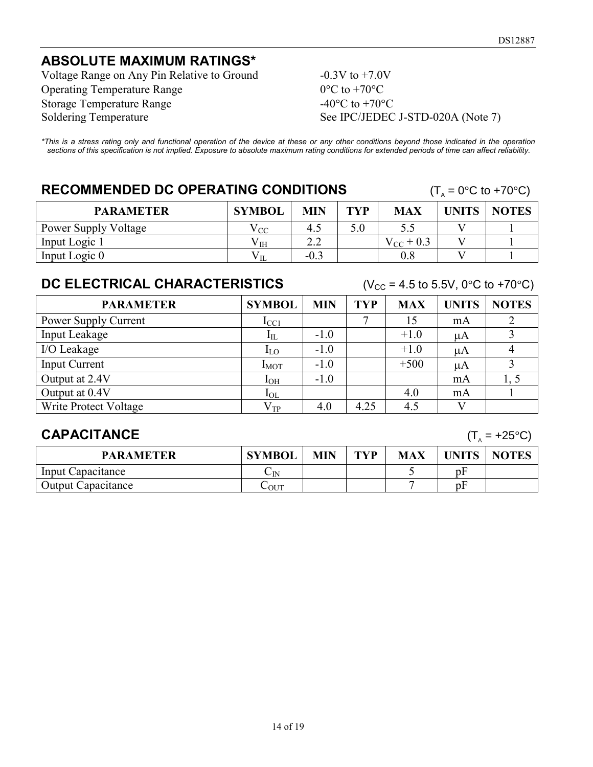#### **ABSOLUTE MAXIMUM RATINGS\***

Voltage Range on Any Pin Relative to Ground  $-0.3V$  to  $+7.0V$ Operating Temperature Range  $0^{\circ}$ C to +70 $^{\circ}$ C Storage Temperature Range  $-40^{\circ}$ C to  $+70^{\circ}$ C Soldering Temperature See IPC/JEDEC J-STD-020A (Note 7)

*\*This is a stress rating only and functional operation of the device at these or any other conditions beyond those indicated in the operation sections of this specification is not implied. Exposure to absolute maximum rating conditions for extended periods of time can affect reliability.*

### **RECOMMENDED DC OPERATING CONDITIONS**  $(T_A = 0^{\circ}C \text{ to } +70^{\circ}C)$

| <b>PARAMETER</b>            | <b>SYMBOL</b> | <b>MIN</b>                                | <b>TYP</b> | <b>MAX</b>     | <b>UNITS</b> | <b>NOTES</b> |
|-----------------------------|---------------|-------------------------------------------|------------|----------------|--------------|--------------|
| <b>Power Supply Voltage</b> | √ CC          | 4.1                                       | 5.0        |                |              |              |
| Input Logic 1               | $\rm V_{IH}$  | $\cap$ $\cap$<br>$\overline{\phantom{a}}$ |            | $V_{CC}$ + 0.3 |              |              |
| Input Logic 0               |               | $-0.3$                                    |            |                |              |              |

#### **DC ELECTRICAL CHARACTERISTICS**  $(V_{CC} = 4.5 \text{ to } 5.5V, 0^{\circ}\text{C to } +70^{\circ}\text{C})$

| <b>PARAMETER</b>      | <b>SYMBOL</b> | <b>MIN</b> | <b>TYP</b> | <b>MAX</b> | <b>UNITS</b> | <b>NOTES</b> |
|-----------------------|---------------|------------|------------|------------|--------------|--------------|
| Power Supply Current  | $I_{\rm CC1}$ |            | −          | 15         | mA           |              |
| Input Leakage         | $I_{\rm IL}$  | $-1.0$     |            | $+1.0$     | μA           |              |
| I/O Leakage           | $I_{LO}$      | $-1.0$     |            | $+1.0$     | μA           |              |
| <b>Input Current</b>  | $I_{MOT}$     | $-1.0$     |            | $+500$     | μA           |              |
| Output at 2.4V        | $I_{OH}$      | $-1.0$     |            |            | mA           |              |
| Output at 0.4V        | $I_{OL}$      |            |            | 4.0        | mA           |              |
| Write Protect Voltage | $V_{TP}$      | 4.0        | 4.25       | 4.5        |              |              |

#### **CAPACITANCE**  $(T_A = +25^{\circ}C)$

| <b>PARAMETER</b>          | <b>SYMBOL</b> | <b>MIN</b> | <b>TYP</b> | MAX | <b>INITS</b> | <b>NOTES</b> |
|---------------------------|---------------|------------|------------|-----|--------------|--------------|
| Input Capacitance         | $\cup$ IN     |            |            |     | DF           |              |
| <b>Output Capacitance</b> | $\sim$ OUT    |            |            |     | рF           |              |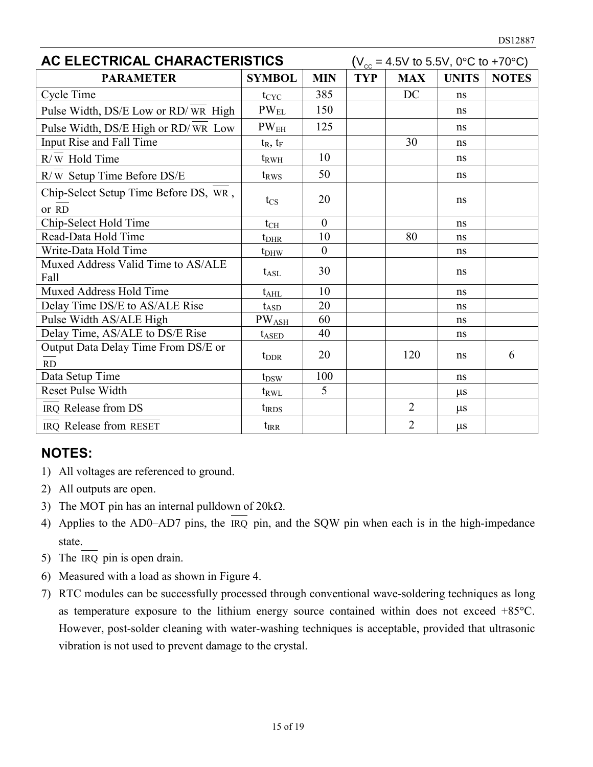| AC ELECTRICAL CHARACTERISTICS              |                             |            | $(V_{cc} = 4.5V \text{ to } 5.5V, 0^{\circ}C \text{ to } +70^{\circ}C)$ |                |              |              |
|--------------------------------------------|-----------------------------|------------|-------------------------------------------------------------------------|----------------|--------------|--------------|
| <b>PARAMETER</b>                           | <b>SYMBOL</b>               | <b>MIN</b> | <b>TYP</b>                                                              | <b>MAX</b>     | <b>UNITS</b> | <b>NOTES</b> |
| Cycle Time                                 | $t_{CYC}$                   | 385        |                                                                         | DC             | ns           |              |
| Pulse Width, DS/E Low or RD/WR High        | $\mathrm{PW}_{\mathrm{EL}}$ | 150        |                                                                         |                | ns           |              |
| Pulse Width, DS/E High or RD/WR Low        | PW <sub>EH</sub>            | 125        |                                                                         |                | ns           |              |
| Input Rise and Fall Time                   | $t_R$ , $t_F$               |            |                                                                         | 30             | ns           |              |
| R/W Hold Time                              | $t_{RWH}$                   | 10         |                                                                         |                | ns           |              |
| R/W Setup Time Before DS/E                 | t <sub>RWS</sub>            | 50         |                                                                         |                | ns           |              |
| Chip-Select Setup Time Before DS, WR,      | $t_{\rm CS}$                | 20         |                                                                         |                | ns           |              |
| or RD                                      |                             |            |                                                                         |                |              |              |
| Chip-Select Hold Time                      | $t_{CH}$                    | $\theta$   |                                                                         |                | ns           |              |
| Read-Data Hold Time                        | $t_{\rm DHR}$               | 10         |                                                                         | 80             | ns           |              |
| Write-Data Hold Time                       | $t_{DHW}$                   | $\theta$   |                                                                         |                | ns           |              |
| Muxed Address Valid Time to AS/ALE<br>Fall | $t_{\rm ASL}$               | 30         |                                                                         |                | ns           |              |
| Muxed Address Hold Time                    | $t_{\rm AHL}$               | 10         |                                                                         |                | ns           |              |
| Delay Time DS/E to AS/ALE Rise             | $t_{ASD}$                   | 20         |                                                                         |                | ns           |              |
| Pulse Width AS/ALE High                    | $PW_{ASH}$                  | 60         |                                                                         |                | ns           |              |
| Delay Time, AS/ALE to DS/E Rise            | $t_{ASED}$                  | 40         |                                                                         |                | ns           |              |
| Output Data Delay Time From DS/E or        | $t_{\rm DDR}$               | 20         |                                                                         | 120            | ns           | 6            |
| RD                                         |                             |            |                                                                         |                |              |              |
| Data Setup Time                            | $t_{DSW}$                   | 100        |                                                                         |                | ns           |              |
| <b>Reset Pulse Width</b>                   | $t_{RWL}$                   | 5          |                                                                         |                | $\mu$ s      |              |
| IRQ Release from DS                        | $t_{IRDS}$                  |            |                                                                         | $\overline{2}$ | $\mu$ s      |              |
| IRQ Release from RESET                     | $t_{\rm{IRR}}$              |            |                                                                         | $\overline{2}$ | $\mu s$      |              |

#### **NOTES:**

- 1) All voltages are referenced to ground.
- 2) All outputs are open.
- 3) The MOT pin has an internal pulldown of  $20k\Omega$ .
- 4) Applies to the AD0–AD7 pins, the  $\overline{IRQ}$  pin, and the SQW pin when each is in the high-impedance state.
- 5) The IRQ pin is open drain.
- 6) Measured with a load as shown in Figure 4.
- 7) RTC modules can be successfully processed through conventional wave-soldering techniques as long as temperature exposure to the lithium energy source contained within does not exceed +85C. However, post-solder cleaning with water-washing techniques is acceptable, provided that ultrasonic vibration is not used to prevent damage to the crystal.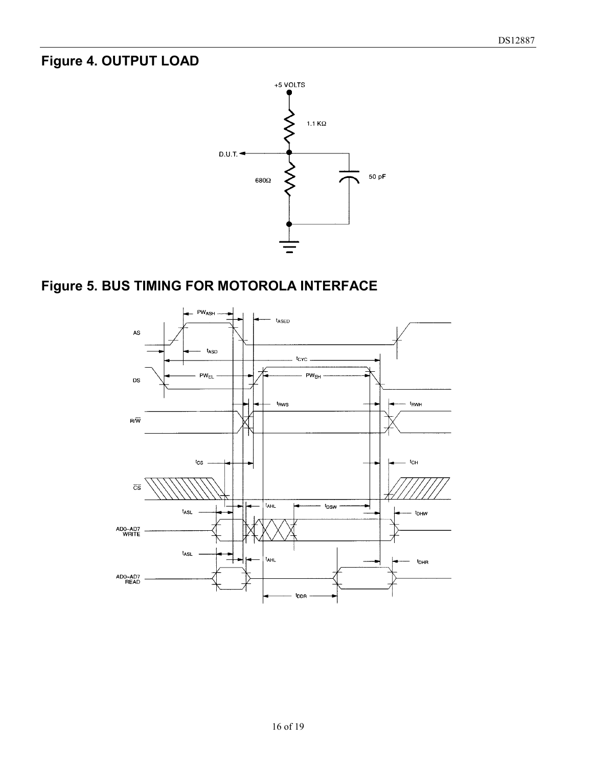### **Figure 4. OUTPUT LOAD**



# **Figure 5. BUS TIMING FOR MOTOROLA INTERFACE**

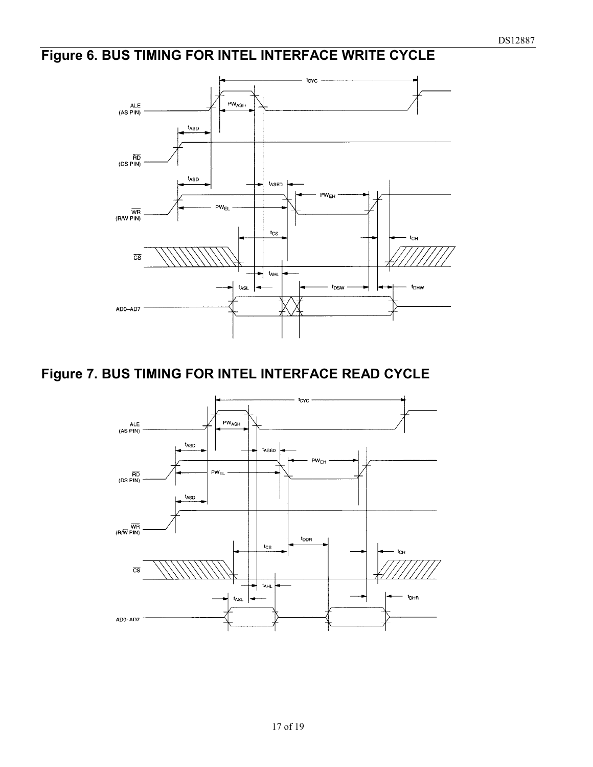# **Figure 6. BUS TIMING FOR INTEL INTERFACE WRITE CYCLE**



### **Figure 7. BUS TIMING FOR INTEL INTERFACE READ CYCLE**

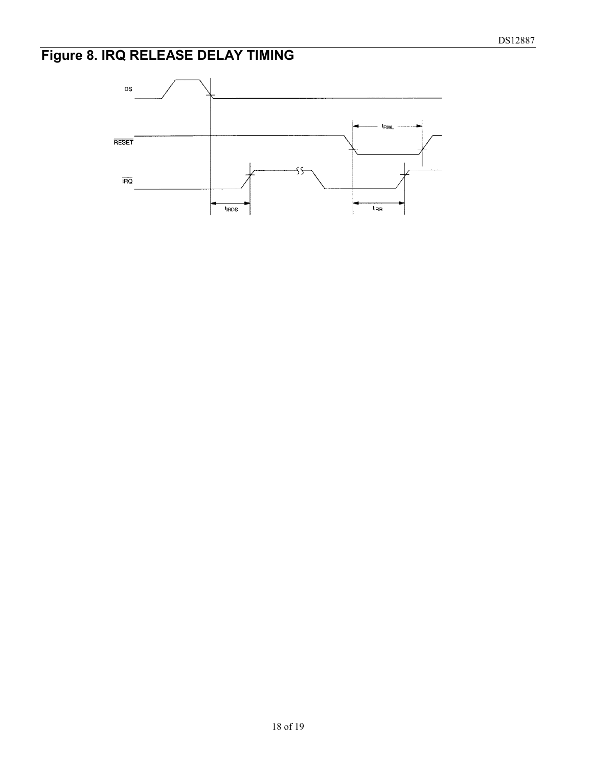# **Figure 8. IRQ RELEASE DELAY TIMING**